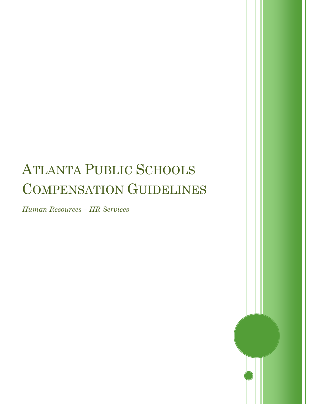## ATLANTA PUBLIC SCHOOLS COMPENSATION GUIDELINES

*Human Resources – HR Services*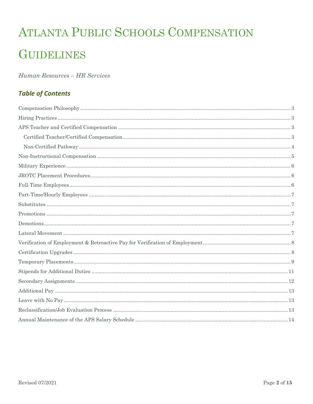# ATLANTA PUBLIC SCHOOLS COMPENSATION **GUIDELINES**

## Human Resources - HR Services

## **Table of Contents**

| $\text{Full-Time Employee} \textit{simple} \textit{Example} \textit{Example} \textit{Example} \textit{Example} \textit{Example} \textit{Example} \textit{Example} \textit{Example} \textit{Example} \textit{Example} \textit{Example} \textit{Example} \textit{Example} \textit{Example} \textit{Example} \textit{Example} \textit{Example} \textit{Example} \textit{Example} \textit{Example} \textit{Example} \textit{Example} \textit{Example} \textit{Example} \textit{Example} \textit{Example} \textit{Example} \textit{Example} \textit{Example} \textit{Example} \textit{Example} \textit{Example} \textit{Example} \textit{Example} \textit$ |  |
|-------------------------------------------------------------------------------------------------------------------------------------------------------------------------------------------------------------------------------------------------------------------------------------------------------------------------------------------------------------------------------------------------------------------------------------------------------------------------------------------------------------------------------------------------------------------------------------------------------------------------------------------------------|--|
|                                                                                                                                                                                                                                                                                                                                                                                                                                                                                                                                                                                                                                                       |  |
|                                                                                                                                                                                                                                                                                                                                                                                                                                                                                                                                                                                                                                                       |  |
|                                                                                                                                                                                                                                                                                                                                                                                                                                                                                                                                                                                                                                                       |  |
|                                                                                                                                                                                                                                                                                                                                                                                                                                                                                                                                                                                                                                                       |  |
|                                                                                                                                                                                                                                                                                                                                                                                                                                                                                                                                                                                                                                                       |  |
|                                                                                                                                                                                                                                                                                                                                                                                                                                                                                                                                                                                                                                                       |  |
|                                                                                                                                                                                                                                                                                                                                                                                                                                                                                                                                                                                                                                                       |  |
|                                                                                                                                                                                                                                                                                                                                                                                                                                                                                                                                                                                                                                                       |  |
|                                                                                                                                                                                                                                                                                                                                                                                                                                                                                                                                                                                                                                                       |  |
|                                                                                                                                                                                                                                                                                                                                                                                                                                                                                                                                                                                                                                                       |  |
|                                                                                                                                                                                                                                                                                                                                                                                                                                                                                                                                                                                                                                                       |  |
|                                                                                                                                                                                                                                                                                                                                                                                                                                                                                                                                                                                                                                                       |  |
|                                                                                                                                                                                                                                                                                                                                                                                                                                                                                                                                                                                                                                                       |  |
|                                                                                                                                                                                                                                                                                                                                                                                                                                                                                                                                                                                                                                                       |  |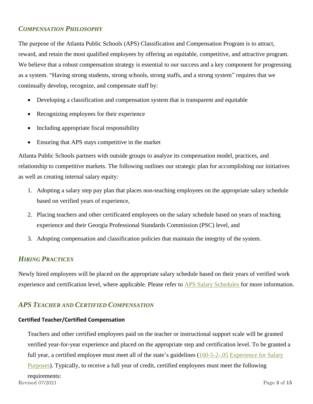## <span id="page-2-0"></span>*COMPENSATION PHILOSOPHY*

The purpose of the Atlanta Public Schools (APS) Classification and Compensation Program is to attract, reward, and retain the most qualified employees by offering an equitable, competitive, and attractive program. We believe that a robust compensation strategy is essential to our success and a key component for progressing as a system. "Having strong students, strong schools, strong staffs, and a strong system" requires that we continually develop, recognize, and compensate staff by:

- Developing a classification and compensation system that is transparent and equitable
- Recognizing employees for their experience
- Including appropriate fiscal responsibility
- Ensuring that APS stays competitive in the market

Atlanta Public Schools partners with outside groups to analyze its compensation model, practices, and relationship to competitive markets. The following outlines our strategic plan for accomplishing our initiatives as well as creating internal salary equity:

- 1. Adopting a salary step pay plan that places non-teaching employees on the appropriate salary schedule based on verified years of experience,
- 2. Placing teachers and other certificated employees on the salary schedule based on years of teaching experience and their Georgia Professional Standards Commission (PSC) level, and
- 3. Adopting compensation and classification policies that maintain the integrity of the system.

## <span id="page-2-1"></span>*HIRING PRACTICES*

Newly hired employees will be placed on the appropriate salary schedule based on their years of verified work experience and certification level, where applicable. Please refer to [APS Salary Schedules](https://www.atlantapublicschools.us/Page/47417) for more information.

## <span id="page-2-2"></span>*APS TEACHER AND CERTIFIED COMPENSATION*

#### <span id="page-2-3"></span>**Certified Teacher/Certified Compensation**

Teachers and other certified employees paid on the teacher or instructional support scale will be granted verified year-for-year experience and placed on the appropriate step and certification level. To be granted a full year, a certified employee must meet all of the state's guidelines (160-5-2-.05 Experience for Salary [Purposes\)](http://www.gadoe.org/External-Affairs-and-Policy/State-Board-of-Education/SBOE%20Rules/160-5-2-.05.pdf). Typically, to receive a full year of credit, certified employees must meet the following

Revised 07/2021 Page **3** of **15** requirements: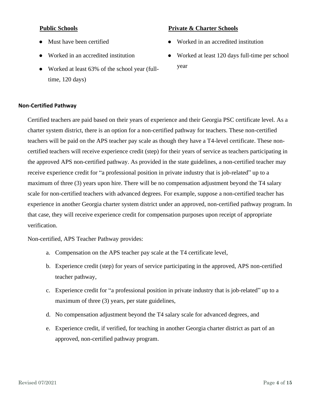#### **Public Schools**

- Must have been certified
- Worked in an accredited institution
- Worked at least 63% of the school year (fulltime, 120 days)

#### <span id="page-3-0"></span>**Non-Certified Pathway**

Certified teachers are paid based on their years of experience and their Georgia PSC certificate level. As a charter system district, there is an option for a non-certified pathway for teachers. These non-certified teachers will be paid on the APS teacher pay scale as though they have a T4-level certificate. These noncertified teachers will receive experience credit (step) for their years of service as teachers participating in the approved APS non-certified pathway. As provided in the state guidelines, a non-certified teacher may receive experience credit for "a professional position in private industry that is job-related" up to a maximum of three (3) years upon hire. There will be no compensation adjustment beyond the T4 salary scale for non-certified teachers with advanced degrees. For example, suppose a non-certified teacher has experience in another Georgia charter system district under an approved, non-certified pathway program. In that case, they will receive experience credit for compensation purposes upon receipt of appropriate verification.

Non-certified, APS Teacher Pathway provides:

- a. Compensation on the APS teacher pay scale at the T4 certificate level,
- b. Experience credit (step) for years of service participating in the approved, APS non-certified teacher pathway,
- c. Experience credit for "a professional position in private industry that is job-related" up to a maximum of three (3) years, per state guidelines,
- d. No compensation adjustment beyond the T4 salary scale for advanced degrees, and
- e. Experience credit, if verified, for teaching in another Georgia charter district as part of an approved, non-certified pathway program.

## **Private & Charter Schools**

- Worked in an accredited institution
- Worked at least 120 days full-time per school year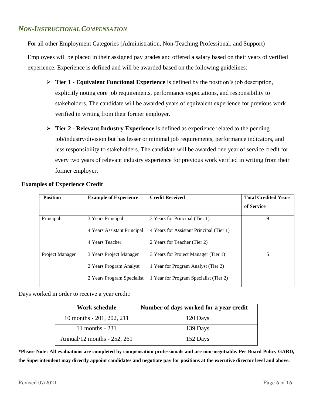#### <span id="page-4-0"></span>*NON-INSTRUCTIONAL COMPENSATION*

For all other Employment Categories (Administration, Non-Teaching Professional, and Support)

Employees will be placed in their assigned pay grades and offered a salary based on their years of verified experience. Experience is defined and will be awarded based on the following guidelines:

- ⮚ **Tier 1 - Equivalent Functional Experience** is defined by the position's job description, explicitly noting core job requirements, performance expectations, and responsibility to stakeholders. The candidate will be awarded years of equivalent experience for previous work verified in writing from their former employer.
- ⮚ **Tier 2 - Relevant Industry Experience** is defined as experience related to the pending job/industry/division but has lesser or minimal job requirements, performance indicators, and less responsibility to stakeholders. The candidate will be awarded one year of service credit for every two years of relevant industry experience for previous work verified in writing from their former employer.

| <b>Position</b> | <b>Example of Experience</b> | <b>Credit Received</b>                   | <b>Total Credited Years</b> |
|-----------------|------------------------------|------------------------------------------|-----------------------------|
|                 |                              |                                          | of Service                  |
| Principal       | 3 Years Principal            | 3 Years for Principal (Tier 1)           | 9                           |
|                 | 4 Years Assistant Principal  | 4 Years for Assistant Principal (Tier 1) |                             |
|                 | 4 Years Teacher              | 2 Years for Teacher (Tier 2)             |                             |
| Project Manager | 3 Years Project Manager      | 3 Years for Project Manager (Tier 1)     | 5                           |
|                 | 2 Years Program Analyst      | 1 Year for Program Analyst (Tier 2)      |                             |
|                 | 2 Years Program Specialist   | 1 Year for Program Specialist (Tier 2)   |                             |

#### **Examples of Experience Credit**

Days worked in order to receive a year credit:

| Work schedule                 | Number of days worked for a year credit |
|-------------------------------|-----------------------------------------|
| 10 months - 201, 202, 211     | 120 Days                                |
| 11 months $-231$              | 139 Days                                |
| Annual/12 months $-252$ , 261 | 152 Days                                |

**\*Please Note: All evaluations are completed by compensation professionals and are non-negotiable. Per Board Policy GARD, the Superintendent may directly appoint candidates and negotiate pay for positions at the executive director level and above.**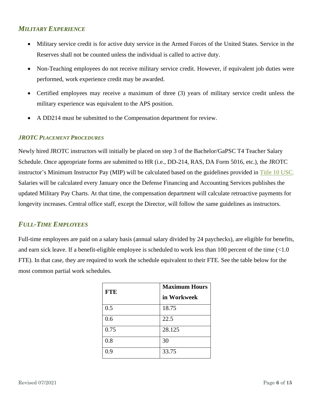## <span id="page-5-0"></span>*MILITARY EXPERIENCE*

- Military service credit is for active duty service in the Armed Forces of the United States. Service in the Reserves shall not be counted unless the individual is called to active duty.
- Non-Teaching employees do not receive military service credit. However, if equivalent job duties were performed, work experience credit may be awarded.
- Certified employees may receive a maximum of three (3) years of military service credit unless the military experience was equivalent to the APS position.
- A DD214 must be submitted to the Compensation department for review.

#### <span id="page-5-1"></span>*JROTC PLACEMENT PROCEDURES*

Newly hired JROTC instructors will initially be placed on step 3 of the Bachelor/GaPSC T4 Teacher Salary Schedule. Once appropriate forms are submitted to HR (i.e., DD-214, RAS, DA Form 5016, etc.), the JROTC instructor's Minimum Instructor Pay (MIP) will be calculated based on the guidelines provided in [Title 10 USC.](http://www.usarmyjrotc.com/general/us_codes_and_regulations.php) Salaries will be calculated every January once the Defense Financing and Accounting Services publishes the updated Military Pay Charts. At that time, the compensation department will calculate retroactive payments for longevity increases. Central office staff, except the Director, will follow the same guidelines as instructors.

#### <span id="page-5-2"></span>*FULL-TIME EMPLOYEES*

Full-time employees are paid on a salary basis (annual salary divided by 24 paychecks), are eligible for benefits, and earn sick leave. If a benefit-eligible employee is scheduled to work less than 100 percent of the time (<1.0 FTE). In that case, they are required to work the schedule equivalent to their FTE. See the table below for the most common partial work schedules.

| <b>FTE</b> | <b>Maximum Hours</b> |
|------------|----------------------|
|            | in Workweek          |
| 0.5        | 18.75                |
| 0.6        | 22.5                 |
| 0.75       | 28.125               |
| 0.8        | 30                   |
| 0.9        | 33.75                |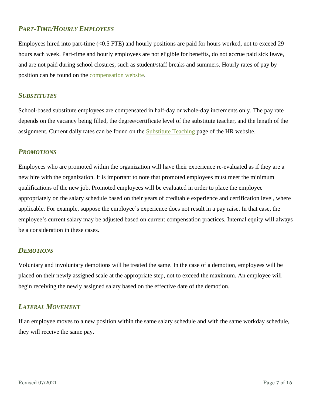## <span id="page-6-0"></span>*PART-TIME/HOURLY EMPLOYEES*

Employees hired into part-time (<0.5 FTE) and hourly positions are paid for hours worked, not to exceed 29 hours each week. Part-time and hourly employees are not eligible for benefits, do not accrue paid sick leave, and are not paid during school closures, such as student/staff breaks and summers. Hourly rates of pay by position can be found on the [compensation website.](https://www.atlantapublicschools.us/Page/47417)

#### <span id="page-6-1"></span>*SUBSTITUTES*

School-based substitute employees are compensated in half-day or whole-day increments only. The pay rate depends on the vacancy being filled, the degree/certificate level of the substitute teacher, and the length of the assignment. Current daily rates can be found on the **Substitute Teaching** page of the HR website.

#### <span id="page-6-2"></span>*PROMOTIONS*

Employees who are promoted within the organization will have their experience re-evaluated as if they are a new hire with the organization. It is important to note that promoted employees must meet the minimum qualifications of the new job. Promoted employees will be evaluated in order to place the employee appropriately on the salary schedule based on their years of creditable experience and certification level, where applicable. For example, suppose the employee's experience does not result in a pay raise. In that case, the employee's current salary may be adjusted based on current compensation practices. Internal equity will always be a consideration in these cases.

#### <span id="page-6-3"></span>*DEMOTIONS*

Voluntary and involuntary demotions will be treated the same. In the case of a demotion, employees will be placed on their newly assigned scale at the appropriate step, not to exceed the maximum. An employee will begin receiving the newly assigned salary based on the effective date of the demotion.

#### <span id="page-6-4"></span>*LATERAL MOVEMENT*

<span id="page-6-5"></span>If an employee moves to a new position within the same salary schedule and with the same workday schedule, they will receive the same pay.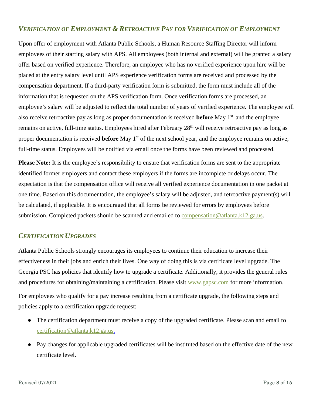## *VERIFICATION OF EMPLOYMENT & RETROACTIVE PAY FOR VERIFICATION OF EMPLOYMENT*

Upon offer of employment with Atlanta Public Schools, a Human Resource Staffing Director will inform employees of their starting salary with APS. All employees (both internal and external) will be granted a salary offer based on verified experience. Therefore, an employee who has no verified experience upon hire will be placed at the entry salary level until APS experience verification forms are received and processed by the compensation department. If a third-party verification form is submitted, the form must include all of the information that is requested on the APS verification form. Once verification forms are processed, an employee's salary will be adjusted to reflect the total number of years of verified experience. The employee will also receive retroactive pay as long as proper documentation is received **before** May 1st and the employee remains on active, full-time status. Employees hired after February 28<sup>th</sup> will receive retroactive pay as long as proper documentation is received **before** May 1<sup>st</sup> of the next school year, and the employee remains on active, full-time status. Employees will be notified via email once the forms have been reviewed and processed.

**Please Note:** It is the employee's responsibility to ensure that verification forms are sent to the appropriate identified former employers and contact these employers if the forms are incomplete or delays occur. The expectation is that the compensation office will receive all verified experience documentation in one packet at one time. Based on this documentation, the employee's salary will be adjusted, and retroactive payment(s) will be calculated, if applicable. It is encouraged that all forms be reviewed for errors by employees before submission. Completed packets should be scanned and emailed to [compensation@atlanta.k12.ga.us.](mailto:compensation@atlanta.k12.ga.us)

#### <span id="page-7-0"></span>*CERTIFICATION UPGRADES*

Atlanta Public Schools strongly encourages its employees to continue their education to increase their effectiveness in their jobs and enrich their lives. One way of doing this is via certificate level upgrade. The Georgia PSC has policies that identify how to upgrade a certificate. Additionally, it provides the general rules and procedures for obtaining/maintaining a certification. Please visit [www.gapsc.com](http://www.gapsc.com/) for more information.

For employees who qualify for a pay increase resulting from a certificate upgrade, the following steps and policies apply to a certification upgrade request:

- The certification department must receive a copy of the upgraded certificate. Please scan and email to [certification@atlanta.k12.ga.us.](mailto:certification@atlanta.k12.ga.us.?subject=Certificate%20Upgrade)
- Pay changes for applicable upgraded certificates will be instituted based on the effective date of the new certificate level.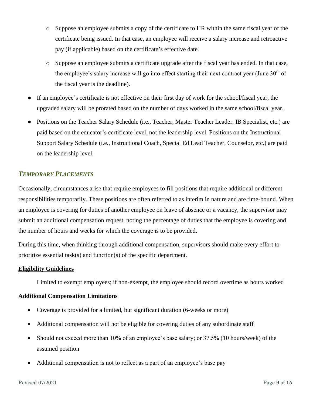- o Suppose an employee submits a copy of the certificate to HR within the same fiscal year of the certificate being issued. In that case, an employee will receive a salary increase and retroactive pay (if applicable) based on the certificate's effective date.
- o Suppose an employee submits a certificate upgrade after the fiscal year has ended. In that case, the employee's salary increase will go into effect starting their next contract year (June  $30<sup>th</sup>$  of the fiscal year is the deadline).
- If an employee's certificate is not effective on their first day of work for the school/fiscal year, the upgraded salary will be prorated based on the number of days worked in the same school/fiscal year.
- Positions on the Teacher Salary Schedule (i.e., Teacher, Master Teacher Leader, IB Specialist, etc.) are paid based on the educator's certificate level, not the leadership level. Positions on the Instructional Support Salary Schedule (i.e., Instructional Coach, Special Ed Lead Teacher, Counselor, etc.) are paid on the leadership level.

#### <span id="page-8-0"></span>*TEMPORARY PLACEMENTS*

Occasionally, circumstances arise that require employees to fill positions that require additional or different responsibilities temporarily. These positions are often referred to as interim in nature and are time-bound. When an employee is covering for duties of another employee on leave of absence or a vacancy, the supervisor may submit an additional compensation request, noting the percentage of duties that the employee is covering and the number of hours and weeks for which the coverage is to be provided.

During this time, when thinking through additional compensation, supervisors should make every effort to prioritize essential task(s) and function(s) of the specific department.

#### **Eligibility Guidelines**

Limited to exempt employees; if non-exempt, the employee should record overtime as hours worked

#### **Additional Compensation Limitations**

- Coverage is provided for a limited, but significant duration (6-weeks or more)
- Additional compensation will not be eligible for covering duties of any subordinate staff
- Should not exceed more than 10% of an employee's base salary; or 37.5% (10 hours/week) of the assumed position
- Additional compensation is not to reflect as a part of an employee's base pay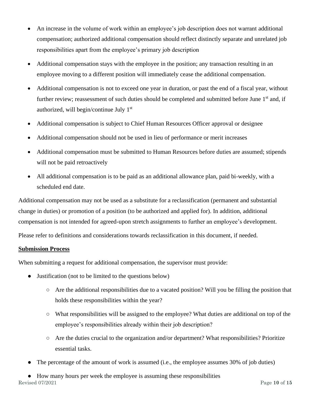- An increase in the volume of work within an employee's job description does not warrant additional compensation; authorized additional compensation should reflect distinctly separate and unrelated job responsibilities apart from the employee's primary job description
- Additional compensation stays with the employee in the position; any transaction resulting in an employee moving to a different position will immediately cease the additional compensation.
- Additional compensation is not to exceed one year in duration, or past the end of a fiscal year, without further review; reassessment of such duties should be completed and submitted before June 1<sup>st</sup> and, if authorized, will begin/continue July 1st
- Additional compensation is subject to Chief Human Resources Officer approval or designee
- Additional compensation should not be used in lieu of performance or merit increases
- Additional compensation must be submitted to Human Resources before duties are assumed; stipends will not be paid retroactively
- All additional compensation is to be paid as an additional allowance plan, paid bi-weekly, with a scheduled end date.

Additional compensation may not be used as a substitute for a reclassification (permanent and substantial change in duties) or promotion of a position (to be authorized and applied for). In addition, additional compensation is not intended for agreed-upon stretch assignments to further an employee's development. Please refer to definitions and considerations towards reclassification in this document, if needed.

#### **Submission Process**

When submitting a request for additional compensation, the supervisor must provide:

- Justification (not to be limited to the questions below)
	- Are the additional responsibilities due to a vacated position? Will you be filling the position that holds these responsibilities within the year?
	- What responsibilities will be assigned to the employee? What duties are additional on top of the employee's responsibilities already within their job description?
	- $\circ$  Are the duties crucial to the organization and/or department? What responsibilities? Prioritize essential tasks.
- The percentage of the amount of work is assumed (i.e., the employee assumes 30% of job duties)
- Revised 07/2021 **Page 10** of 15 ● How many hours per week the employee is assuming these responsibilities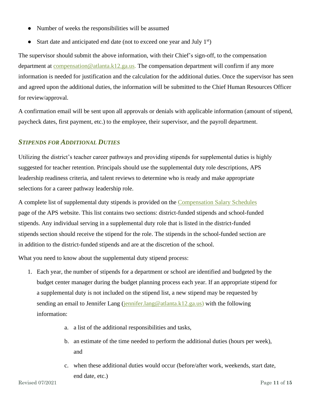- Number of weeks the responsibilities will be assumed
- Start date and anticipated end date (not to exceed one year and July  $1<sup>st</sup>$ )

The supervisor should submit the above information, with their Chief's sign-off, to the compensation department at [compensation@atlanta.k12.ga.us.](mailto:compensation@atlanta.k12.ga.us) The compensation department will confirm if any more information is needed for justification and the calculation for the additional duties. Once the supervisor has seen and agreed upon the additional duties, the information will be submitted to the Chief Human Resources Officer for review/approval.

A confirmation email will be sent upon all approvals or denials with applicable information (amount of stipend, paycheck dates, first payment, etc.) to the employee, their supervisor, and the payroll department.

#### <span id="page-10-0"></span>*STIPENDS FOR ADDITIONAL DUTIES*

Utilizing the district's teacher career pathways and providing stipends for supplemental duties is highly suggested for teacher retention. Principals should use the supplemental duty role descriptions, APS leadership readiness criteria, and talent reviews to determine who is ready and make appropriate selections for a career pathway leadership role.

A complete list of supplemental duty stipends is provided on the [Compensation Salary Schedules](https://www.atlantapublicschools.us/Page/47417) page of the APS website. This list contains two sections: district-funded stipends and school-funded stipends. Any individual serving in a supplemental duty role that is listed in the district-funded stipends section should receive the stipend for the role. The stipends in the school-funded section are in addition to the district-funded stipends and are at the discretion of the school.

What you need to know about the supplemental duty stipend process:

- 1. Each year, the number of stipends for a department or school are identified and budgeted by the budget center manager during the budget planning process each year. If an appropriate stipend for a supplemental duty is not included on the stipend list, a new stipend may be requested by sending an email to Jennifer Lang (jennifer.lang  $@$  atlanta.k12.ga.us) with the following information:
	- a. a list of the additional responsibilities and tasks,
	- b. an estimate of the time needed to perform the additional duties (hours per week), and
	- c. when these additional duties would occur (before/after work, weekends, start date, end date, etc.)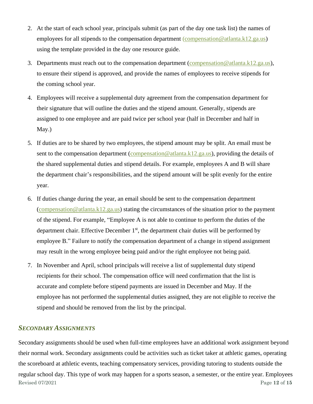- 2. At the start of each school year, principals submit (as part of the day one task list) the names of employees for all stipends to the compensation department (compensation @atlanta.k12.ga.us) using the template provided in the day one resource guide.
- 3. Departments must reach out to the compensation department (compensation  $@$  atlanta.k12.ga.us), to ensure their stipend is approved, and provide the names of employees to receive stipends for the coming school year.
- 4. Employees will receive a supplemental duty agreement from the compensation department for their signature that will outline the duties and the stipend amount. Generally, stipends are assigned to one employee and are paid twice per school year (half in December and half in May.)
- 5. If duties are to be shared by two employees, the stipend amount may be split. An email must be sent to the compensation department (compensation @atlanta.k12.ga.us), providing the details of the shared supplemental duties and stipend details. For example, employees A and B will share the department chair's responsibilities, and the stipend amount will be split evenly for the entire year.
- 6. If duties change during the year, an email should be sent to the compensation department [\(compensation@atlanta.k12.ga.us\)](mailto:compensation@atlanta.k12.ga.us) stating the circumstances of the situation prior to the payment of the stipend. For example, "Employee A is not able to continue to perform the duties of the department chair. Effective December  $1<sup>st</sup>$ , the department chair duties will be performed by employee B." Failure to notify the compensation department of a change in stipend assignment may result in the wrong employee being paid and/or the right employee not being paid.
- 7. In November and April, school principals will receive a list of supplemental duty stipend recipients for their school. The compensation office will need confirmation that the list is accurate and complete before stipend payments are issued in December and May. If the employee has not performed the supplemental duties assigned, they are not eligible to receive the stipend and should be removed from the list by the principal.

#### <span id="page-11-0"></span>*SECONDARY ASSIGNMENTS*

Revised 07/2021 Page **12** of **15** Secondary assignments should be used when full-time employees have an additional work assignment beyond their normal work. Secondary assignments could be activities such as ticket taker at athletic games, operating the scoreboard at athletic events, teaching compensatory services, providing tutoring to students outside the regular school day. This type of work may happen for a sports season, a semester, or the entire year. Employees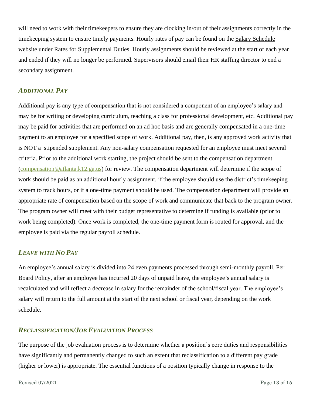will need to work with their timekeepers to ensure they are clocking in/out of their assignments correctly in the timekeeping system to ensure timely payments. Hourly rates of pay can be found on the [Salary Schedule](https://www.atlantapublicschools.us/Page/47417) website under Rates for Supplemental Duties. Hourly assignments should be reviewed at the start of each year and ended if they will no longer be performed. Supervisors should email their HR staffing director to end a secondary assignment.

#### <span id="page-12-0"></span>*ADDITIONAL PAY*

Additional pay is any type of compensation that is not considered a component of an employee's salary and may be for writing or developing curriculum, teaching a class for professional development, etc. Additional pay may be paid for activities that are performed on an ad hoc basis and are generally compensated in a one-time payment to an employee for a specified scope of work. Additional pay, then, is any approved work activity that is NOT a stipended supplement. Any non*-*salary compensation requested for an employee must meet several criteria. Prior to the additional work starting, the project should be sent to the compensation department [\(compensation@atlanta.k12.ga.us\)](mailto:Compensation@atlanta.k12.ga.us) for review. The compensation department will determine if the scope of work should be paid as an additional hourly assignment, if the employee should use the district's timekeeping system to track hours, or if a one-time payment should be used. The compensation department will provide an appropriate rate of compensation based on the scope of work and communicate that back to the program owner. The program owner will meet with their budget representative to determine if funding is available (prior to work being completed). Once work is completed, the one-time payment form is routed for approval, and the employee is paid via the regular payroll schedule.

#### <span id="page-12-1"></span>*LEAVE WITH NO PAY*

An employee's annual salary is divided into 24 even payments processed through semi-monthly payroll. Per Board Policy, after an employee has incurred 20 days of unpaid leave, the employee's annual salary is recalculated and will reflect a decrease in salary for the remainder of the school/fiscal year. The employee's salary will return to the full amount at the start of the next school or fiscal year, depending on the work schedule.

#### <span id="page-12-2"></span>*RECLASSIFICATION/JOB EVALUATION PROCESS*

The purpose of the job evaluation process is to determine whether a position's core duties and responsibilities have significantly and permanently changed to such an extent that reclassification to a different pay grade (higher or lower) is appropriate. The essential functions of a position typically change in response to the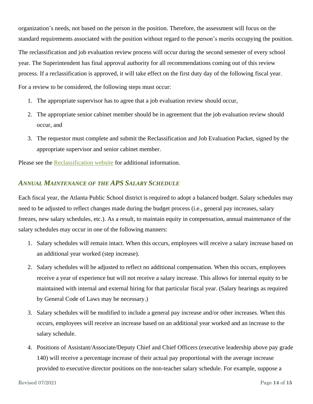organization's needs, not based on the person in the position. Therefore, the assessment will focus on the standard requirements associated with the position without regard to the person's merits occupying the position.

The reclassification and job evaluation review process will occur during the second semester of every school year. The Superintendent has final approval authority for all recommendations coming out of this review process. If a reclassification is approved, it will take effect on the first duty day of the following fiscal year.

For a review to be considered, the following steps must occur:

- 1. The appropriate supervisor has to agree that a job evaluation review should occur,
- 2. The appropriate senior cabinet member should be in agreement that the job evaluation review should occur, and
- 3. The requestor must complete and submit the Reclassification and Job Evaluation Packet, signed by the appropriate supervisor and senior cabinet member.

Please see the [Reclassification website](https://www.atlantapublicschools.us/Page/52150) for additional information.

#### <span id="page-13-0"></span>*ANNUAL MAINTENANCE OF THE APS SALARY SCHEDULE*

Each fiscal year, the Atlanta Public School district is required to adopt a balanced budget. Salary schedules may need to be adjusted to reflect changes made during the budget process (i.e., general pay increases, salary freezes, new salary schedules, etc.). As a result, to maintain equity in compensation, annual maintenance of the salary schedules may occur in one of the following manners:

- 1. Salary schedules will remain intact. When this occurs, employees will receive a salary increase based on an additional year worked (step increase).
- 2. Salary schedules will be adjusted to reflect no additional compensation. When this occurs, employees receive a year of experience but will not receive a salary increase. This allows for internal equity to be maintained with internal and external hiring for that particular fiscal year. (Salary hearings as required by General Code of Laws may be necessary.)
- 3. Salary schedules will be modified to include a general pay increase and/or other increases. When this occurs, employees will receive an increase based on an additional year worked and an increase to the salary schedule.
- 4. Positions of Assistant/Associate/Deputy Chief and Chief Officers (executive leadership above pay grade 140) will receive a percentage increase of their actual pay proportional with the average increase provided to executive director positions on the non-teacher salary schedule. For example, suppose a